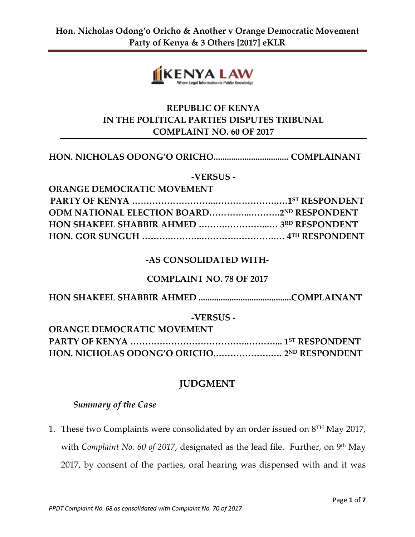

# **REPUBLIC OF KENYA IN THE POLITICAL PARTIES DISPUTES TRIBUNAL COMPLAINT NO. 60 OF 2017**

#### **HON. NICHOLAS ODONG'O ORICHO.................................. COMPLAINANT**

**-VERSUS -**

| <b>ORANGE DEMOCRATIC MOVEMENT</b>         |  |
|-------------------------------------------|--|
|                                           |  |
| ODM NATIONAL ELECTION BOARD2ND RESPONDENT |  |
|                                           |  |
|                                           |  |

#### **-AS CONSOLIDATED WITH-**

## **COMPLAINT NO. 78 OF 2017**

**HON SHAKEEL SHABBIR AHMED ..........................................COMPLAINANT**

#### **-VERSUS -**

| <b>ORANGE DEMOCRATIC MOVEMENT</b> |  |
|-----------------------------------|--|
|                                   |  |
|                                   |  |

## **JUDGMENT**

#### *Summary of the Case*

1. These two Complaints were consolidated by an order issued on  $8^{\text{TH}}$  May 2017, with *Complaint No. 60 of 2017*, designated as the lead file. Further, on 9<sup>th</sup> May 2017, by consent of the parties, oral hearing was dispensed with and it was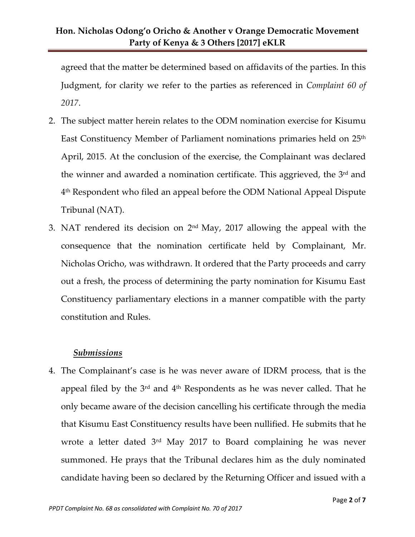agreed that the matter be determined based on affidavits of the parties. In this Judgment, for clarity we refer to the parties as referenced in *Complaint 60 of 2017*.

- 2. The subject matter herein relates to the ODM nomination exercise for Kisumu East Constituency Member of Parliament nominations primaries held on 25<sup>th</sup> April, 2015. At the conclusion of the exercise, the Complainant was declared the winner and awarded a nomination certificate. This aggrieved, the 3<sup>rd</sup> and 4 th Respondent who filed an appeal before the ODM National Appeal Dispute Tribunal (NAT).
- 3. NAT rendered its decision on  $2<sup>nd</sup>$  May, 2017 allowing the appeal with the consequence that the nomination certificate held by Complainant, Mr. Nicholas Oricho, was withdrawn. It ordered that the Party proceeds and carry out a fresh, the process of determining the party nomination for Kisumu East Constituency parliamentary elections in a manner compatible with the party constitution and Rules.

## *Submissions*

4. The Complainant's case is he was never aware of IDRM process, that is the appeal filed by the  $3<sup>rd</sup>$  and  $4<sup>th</sup>$  Respondents as he was never called. That he only became aware of the decision cancelling his certificate through the media that Kisumu East Constituency results have been nullified. He submits that he wrote a letter dated 3<sup>rd</sup> May 2017 to Board complaining he was never summoned. He prays that the Tribunal declares him as the duly nominated candidate having been so declared by the Returning Officer and issued with a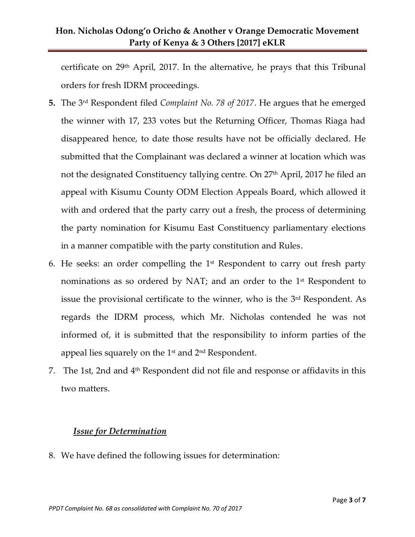# **Hon. Nicholas Odong'o Oricho & Another v Orange Democratic Movement Party of Kenya & 3 Others [2017] eKLR**

certificate on  $29<sup>th</sup>$  April, 2017. In the alternative, he prays that this Tribunal orders for fresh IDRM proceedings.

- **5.** The 3rd Respondent filed *Complaint No. 78 of 2017*. He argues that he emerged the winner with 17, 233 votes but the Returning Officer, Thomas Riaga had disappeared hence, to date those results have not be officially declared. He submitted that the Complainant was declared a winner at location which was not the designated Constituency tallying centre. On 27<sup>th</sup> April, 2017 he filed an appeal with Kisumu County ODM Election Appeals Board, which allowed it with and ordered that the party carry out a fresh, the process of determining the party nomination for Kisumu East Constituency parliamentary elections in a manner compatible with the party constitution and Rules.
- 6. He seeks: an order compelling the  $1<sup>st</sup>$  Respondent to carry out fresh party nominations as so ordered by NAT; and an order to the  $1<sup>st</sup>$  Respondent to issue the provisional certificate to the winner, who is the 3 rd Respondent. As regards the IDRM process, which Mr. Nicholas contended he was not informed of, it is submitted that the responsibility to inform parties of the appeal lies squarely on the  $1<sup>st</sup>$  and  $2<sup>nd</sup>$  Respondent.
- 7. The 1st, 2nd and 4<sup>th</sup> Respondent did not file and response or affidavits in this two matters.

## *Issue for Determination*

8. We have defined the following issues for determination: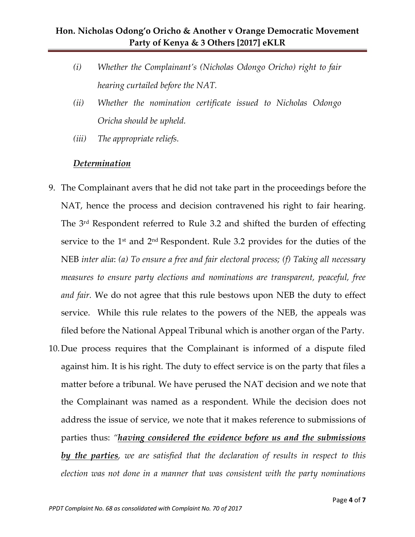- *(i) Whether the Complainant's (Nicholas Odongo Oricho) right to fair hearing curtailed before the NAT.*
- *(ii) Whether the nomination certificate issued to Nicholas Odongo Oricha should be upheld.*
- *(iii) The appropriate reliefs.*

## *Determination*

- 9. The Complainant avers that he did not take part in the proceedings before the NAT, hence the process and decision contravened his right to fair hearing. The 3rd Respondent referred to Rule 3.2 and shifted the burden of effecting service to the  $1<sup>st</sup>$  and  $2<sup>nd</sup>$  Respondent. Rule 3.2 provides for the duties of the NEB *inter alia*: *(a) To ensure a free and fair electoral process; (f) Taking all necessary measures to ensure party elections and nominations are transparent, peaceful, free and fair.* We do not agree that this rule bestows upon NEB the duty to effect service. While this rule relates to the powers of the NEB, the appeals was filed before the National Appeal Tribunal which is another organ of the Party.
- 10.Due process requires that the Complainant is informed of a dispute filed against him. It is his right. The duty to effect service is on the party that files a matter before a tribunal. We have perused the NAT decision and we note that the Complainant was named as a respondent. While the decision does not address the issue of service, we note that it makes reference to submissions of parties thus: *"having considered the evidence before us and the submissions by the parties, we are satisfied that the declaration of results in respect to this election was not done in a manner that was consistent with the party nominations*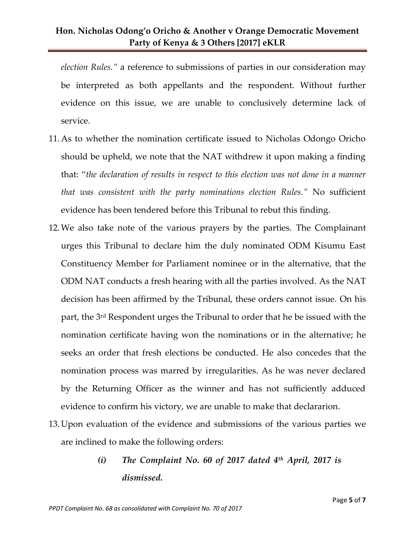# **Hon. Nicholas Odong'o Oricho & Another v Orange Democratic Movement Party of Kenya & 3 Others [2017] eKLR**

*election Rules."* a reference to submissions of parties in our consideration may be interpreted as both appellants and the respondent. Without further evidence on this issue, we are unable to conclusively determine lack of service.

- 11.As to whether the nomination certificate issued to Nicholas Odongo Oricho should be upheld, we note that the NAT withdrew it upon making a finding that: "*the declaration of results in respect to this election was not done in a manner that was consistent with the party nominations election Rules."* No sufficient evidence has been tendered before this Tribunal to rebut this finding.
- 12.We also take note of the various prayers by the parties. The Complainant urges this Tribunal to declare him the duly nominated ODM Kisumu East Constituency Member for Parliament nominee or in the alternative, that the ODM NAT conducts a fresh hearing with all the parties involved. As the NAT decision has been affirmed by the Tribunal, these orders cannot issue. On his part, the 3rd Respondent urges the Tribunal to order that he be issued with the nomination certificate having won the nominations or in the alternative; he seeks an order that fresh elections be conducted. He also concedes that the nomination process was marred by irregularities. As he was never declared by the Returning Officer as the winner and has not sufficiently adduced evidence to confirm his victory, we are unable to make that declararion.
- 13.Upon evaluation of the evidence and submissions of the various parties we are inclined to make the following orders:
	- *(i) The Complaint No. 60 of 2017 dated 4th April, 2017 is dismissed.*